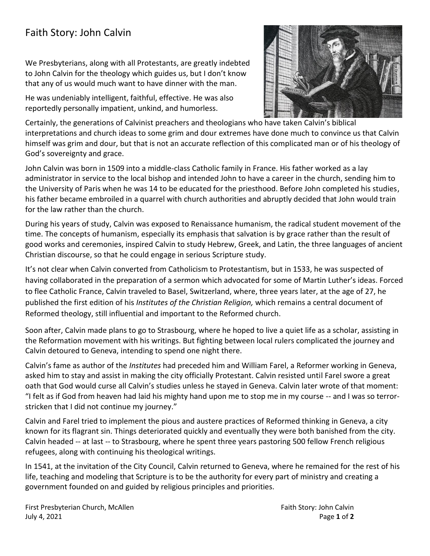## Faith Story: John Calvin

We Presbyterians, along with all Protestants, are greatly indebted to John Calvin for the theology which guides us, but I don't know that any of us would much want to have dinner with the man.

He was undeniably intelligent, faithful, effective. He was also reportedly personally impatient, unkind, and humorless.



Certainly, the generations of Calvinist preachers and theologians who have taken Calvin's biblical interpretations and church ideas to some grim and dour extremes have done much to convince us that Calvin himself was grim and dour, but that is not an accurate reflection of this complicated man or of his theology of God's sovereignty and grace.

John Calvin was born in 1509 into a middle-class Catholic family in France. His father worked as a lay administrator in service to the local bishop and intended John to have a career in the church, sending him to the University of Paris when he was 14 to be educated for the priesthood. Before John completed his studies, his father became embroiled in a quarrel with church authorities and abruptly decided that John would train for the law rather than the church.

During his years of study, Calvin was exposed to Renaissance humanism, the radical student movement of the time. The concepts of humanism, especially its emphasis that salvation is by grace rather than the result of good works and ceremonies, inspired Calvin to study Hebrew, Greek, and Latin, the three languages of ancient Christian discourse, so that he could engage in serious Scripture study.

It's not clear when Calvin converted from Catholicism to Protestantism, but in 1533, he was suspected of having collaborated in the preparation of a sermon which advocated for some of Martin Luther's ideas. Forced to flee Catholic France, Calvin traveled to Basel, Switzerland, where, three years later, at the age of 27, he published the first edition of his *Institutes of the Christian Religion,* which remains a central document of Reformed theology, still influential and important to the Reformed church.

Soon after, Calvin made plans to go to Strasbourg, where he hoped to live a quiet life as a scholar, assisting in the Reformation movement with his writings. But fighting between local rulers complicated the journey and Calvin detoured to Geneva, intending to spend one night there.

Calvin's fame as author of the *Institutes* had preceded him and William Farel, a Reformer working in Geneva, asked him to stay and assist in making the city officially Protestant. Calvin resisted until Farel swore a great oath that God would curse all Calvin's studies unless he stayed in Geneva. Calvin later wrote of that moment: "I felt as if God from heaven had laid his mighty hand upon me to stop me in my course -- and I was so terrorstricken that I did not continue my journey."

Calvin and Farel tried to implement the pious and austere practices of Reformed thinking in Geneva, a city known for its flagrant sin. Things deteriorated quickly and eventually they were both banished from the city. Calvin headed -- at last -- to Strasbourg, where he spent three years pastoring 500 fellow French religious refugees, along with continuing his theological writings.

In 1541, at the invitation of the City Council, Calvin returned to Geneva, where he remained for the rest of his life, teaching and modeling that Scripture is to be the authority for every part of ministry and creating a government founded on and guided by religious principles and priorities.

First Presbyterian Church, McAllen Faith Story: John Calvin Faith Story: John Calvin July 4, 2021 Page **1** of **2**